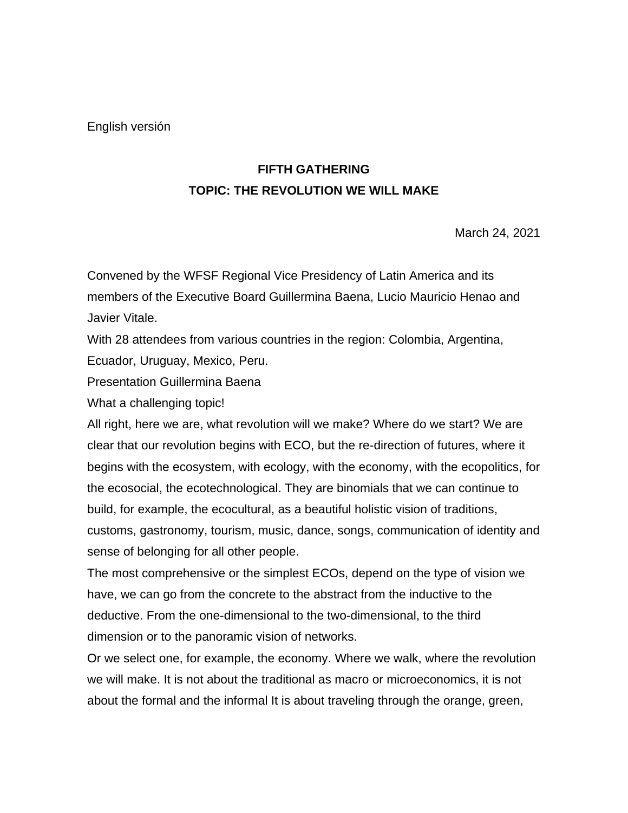English versión

# **FIFTH GATHERING TOPIC: THE REVOLUTION WE WILL MAKE**

March 24, 2021

Convened by the WFSF Regional Vice Presidency of Latin America and its members of the Executive Board Guillermina Baena, Lucio Mauricio Henao and Javier Vitale.

With 28 attendees from various countries in the region: Colombia, Argentina, Ecuador, Uruguay, Mexico, Peru.

Presentation Guillermina Baena

What a challenging topic!

All right, here we are, what revolution will we make? Where do we start? We are clear that our revolution begins with ECO, but the re-direction of futures, where it begins with the ecosystem, with ecology, with the economy, with the ecopolitics, for the ecosocial, the ecotechnological. They are binomials that we can continue to build, for example, the ecocultural, as a beautiful holistic vision of traditions, customs, gastronomy, tourism, music, dance, songs, communication of identity and sense of belonging for all other people.

The most comprehensive or the simplest ECOs, depend on the type of vision we have, we can go from the concrete to the abstract from the inductive to the deductive. From the one-dimensional to the two-dimensional, to the third dimension or to the panoramic vision of networks.

Or we select one, for example, the economy. Where we walk, where the revolution we will make. It is not about the traditional as macro or microeconomics, it is not about the formal and the informal It is about traveling through the orange, green,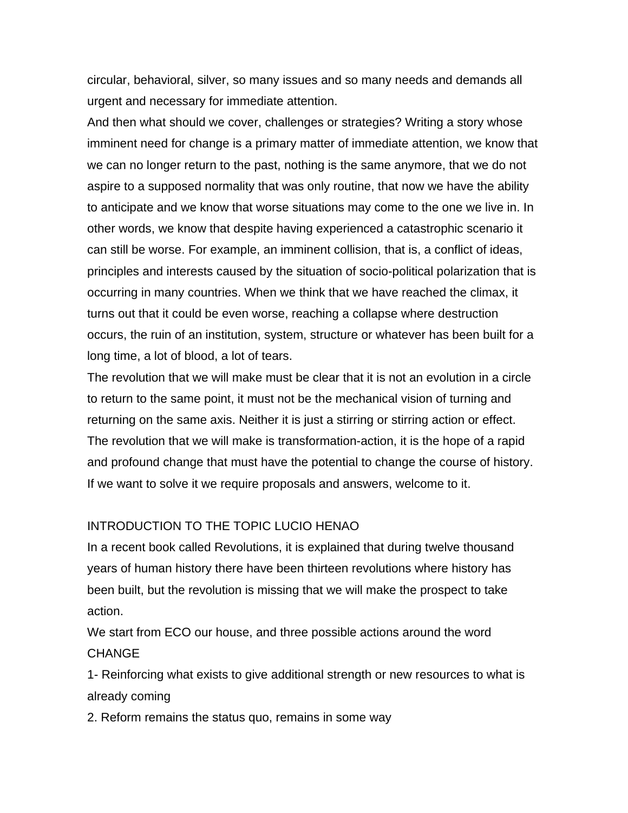circular, behavioral, silver, so many issues and so many needs and demands all urgent and necessary for immediate attention.

And then what should we cover, challenges or strategies? Writing a story whose imminent need for change is a primary matter of immediate attention, we know that we can no longer return to the past, nothing is the same anymore, that we do not aspire to a supposed normality that was only routine, that now we have the ability to anticipate and we know that worse situations may come to the one we live in. In other words, we know that despite having experienced a catastrophic scenario it can still be worse. For example, an imminent collision, that is, a conflict of ideas, principles and interests caused by the situation of socio-political polarization that is occurring in many countries. When we think that we have reached the climax, it turns out that it could be even worse, reaching a collapse where destruction occurs, the ruin of an institution, system, structure or whatever has been built for a long time, a lot of blood, a lot of tears.

The revolution that we will make must be clear that it is not an evolution in a circle to return to the same point, it must not be the mechanical vision of turning and returning on the same axis. Neither it is just a stirring or stirring action or effect. The revolution that we will make is transformation-action, it is the hope of a rapid and profound change that must have the potential to change the course of history. If we want to solve it we require proposals and answers, welcome to it.

#### INTRODUCTION TO THE TOPIC LUCIO HENAO

In a recent book called Revolutions, it is explained that during twelve thousand years of human history there have been thirteen revolutions where history has been built, but the revolution is missing that we will make the prospect to take action.

We start from ECO our house, and three possible actions around the word CHANGE

1- Reinforcing what exists to give additional strength or new resources to what is already coming

2. Reform remains the status quo, remains in some way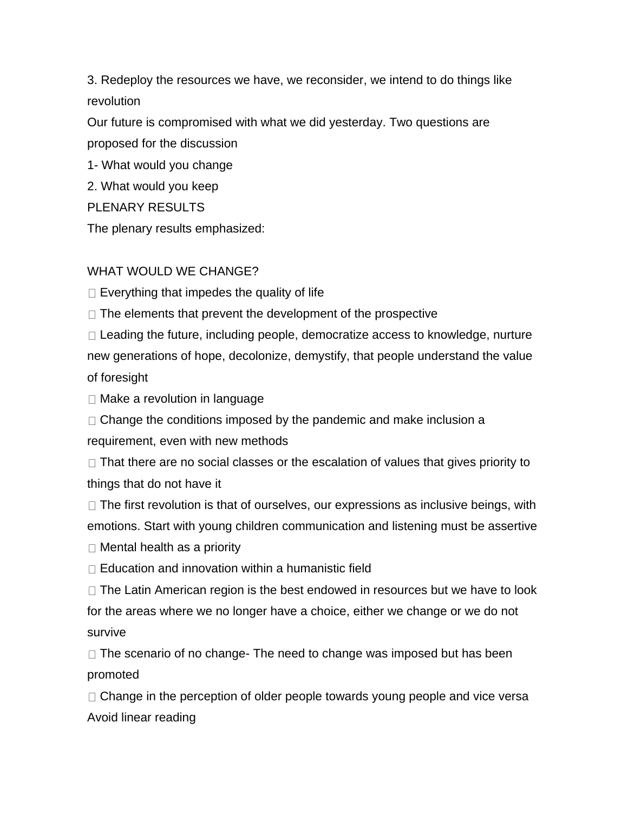3. Redeploy the resources we have, we reconsider, we intend to do things like revolution

Our future is compromised with what we did yesterday. Two questions are proposed for the discussion

1- What would you change

2. What would you keep

PLENARY RESULTS

The plenary results emphasized:

#### WHAT WOULD WE CHANGE?

 $\Box$  Everything that impedes the quality of life

 $\Box$  The elements that prevent the development of the prospective

 $\Box$  Leading the future, including people, democratize access to knowledge, nurture new generations of hope, decolonize, demystify, that people understand the value of foresight

 $\Box$  Make a revolution in language

 $\Box$  Change the conditions imposed by the pandemic and make inclusion a requirement, even with new methods

 $\Box$  That there are no social classes or the escalation of values that gives priority to things that do not have it

 $\Box$  The first revolution is that of ourselves, our expressions as inclusive beings, with emotions. Start with young children communication and listening must be assertive

 $\Box$  Mental health as a priority

 $\Box$  Education and innovation within a humanistic field

 $\Box$  The Latin American region is the best endowed in resources but we have to look for the areas where we no longer have a choice, either we change or we do not survive

 $\Box$  The scenario of no change- The need to change was imposed but has been promoted

 $\Box$  Change in the perception of older people towards young people and vice versa Avoid linear reading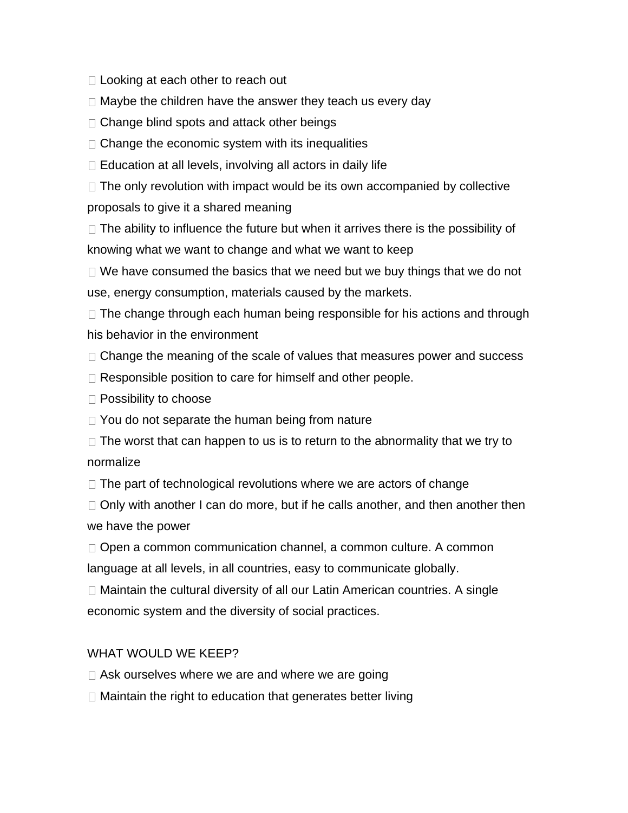□ Looking at each other to reach out

 $\Box$  Maybe the children have the answer they teach us every day

 $\Box$  Change blind spots and attack other beings

 $\Box$  Change the economic system with its inequalities

 $\Box$  Education at all levels, involving all actors in daily life

 $\Box$  The only revolution with impact would be its own accompanied by collective proposals to give it a shared meaning

 $\Box$  The ability to influence the future but when it arrives there is the possibility of knowing what we want to change and what we want to keep

 $\Box$  We have consumed the basics that we need but we buy things that we do not use, energy consumption, materials caused by the markets.

 $\Box$  The change through each human being responsible for his actions and through his behavior in the environment

 $\Box$  Change the meaning of the scale of values that measures power and success

□ Responsible position to care for himself and other people.

 $\Box$  Possibility to choose

 $\Box$  You do not separate the human being from nature

 $\Box$  The worst that can happen to us is to return to the abnormality that we try to normalize

 $\Box$  The part of technological revolutions where we are actors of change

 $\Box$  Only with another I can do more, but if he calls another, and then another then we have the power

□ Open a common communication channel, a common culture. A common language at all levels, in all countries, easy to communicate globally.

 $\Box$  Maintain the cultural diversity of all our Latin American countries. A single economic system and the diversity of social practices.

## WHAT WOULD WE KEEP?

 $\Box$  Ask ourselves where we are and where we are going

□ Maintain the right to education that generates better living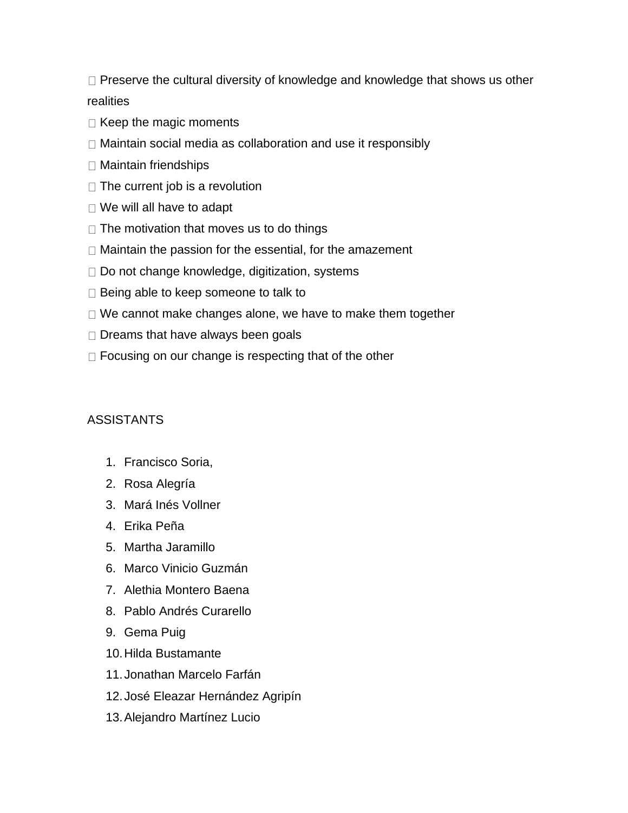$\Box$  Preserve the cultural diversity of knowledge and knowledge that shows us other realities

- $\Box$  Keep the magic moments
- □ Maintain social media as collaboration and use it responsibly
- □ Maintain friendships
- $\Box$  The current job is a revolution
- □ We will all have to adapt
- $\Box$  The motivation that moves us to do things
- $\Box$  Maintain the passion for the essential, for the amazement
- $\Box$  Do not change knowledge, digitization, systems
- $\Box$  Being able to keep someone to talk to
- $\Box$  We cannot make changes alone, we have to make them together
- $\Box$  Dreams that have always been goals
- $\Box$  Focusing on our change is respecting that of the other

## **ASSISTANTS**

- 1. Francisco Soria,
- 2. Rosa Alegría
- 3. Mará Inés Vollner
- 4. Erika Peña
- 5. Martha Jaramillo
- 6. Marco Vinicio Guzmán
- 7. Alethia Montero Baena
- 8. Pablo Andrés Curarello
- 9. Gema Puig
- 10.Hilda Bustamante
- 11.Jonathan Marcelo Farfán
- 12.José Eleazar Hernández Agripín
- 13.Alejandro Martínez Lucio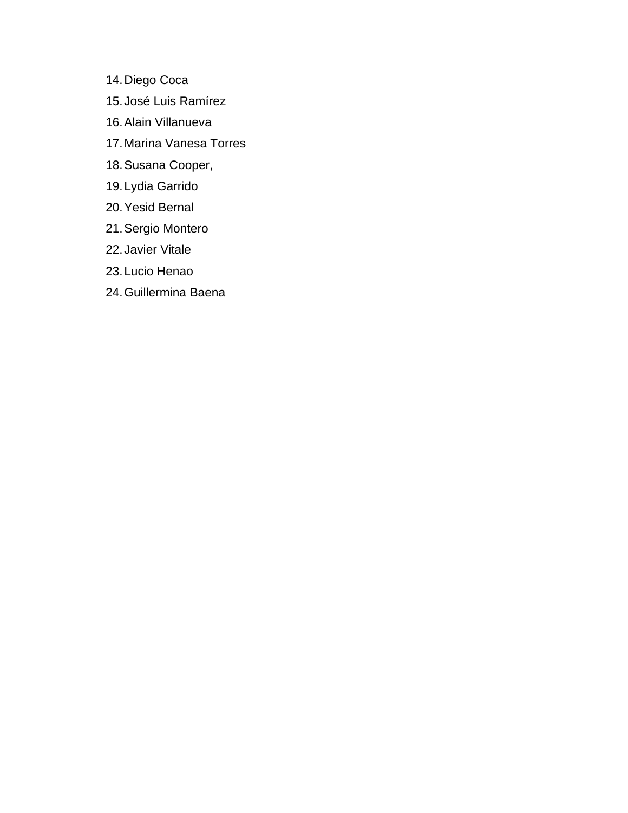- 14.Diego Coca
- 15.José Luis Ramírez
- 16.Alain Villanueva
- 17.Marina Vanesa Torres
- 18.Susana Cooper,
- 19.Lydia Garrido
- 20.Yesid Bernal
- 21.Sergio Montero
- 22.Javier Vitale
- 23.Lucio Henao
- 24.Guillermina Baena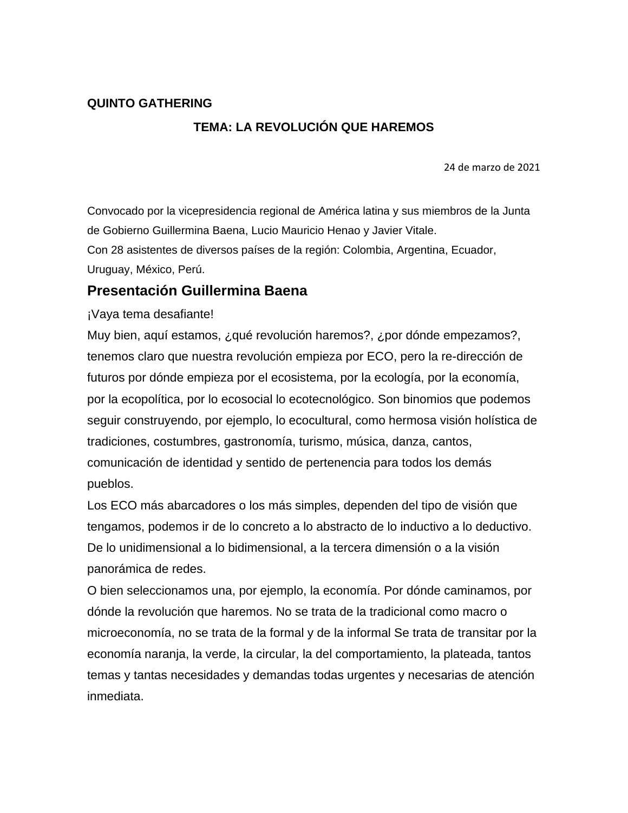#### **QUINTO GATHERING**

# **TEMA: LA REVOLUCIÓN QUE HAREMOS**

24 de marzo de 2021

Convocado por la vicepresidencia regional de América latina y sus miembros de la Junta de Gobierno Guillermina Baena, Lucio Mauricio Henao y Javier Vitale.

Con 28 asistentes de diversos países de la región: Colombia, Argentina, Ecuador, Uruguay, México, Perú.

## **Presentación Guillermina Baena**

¡Vaya tema desafiante!

Muy bien, aquí estamos, ¿qué revolución haremos?, ¿por dónde empezamos?, tenemos claro que nuestra revolución empieza por ECO, pero la re-dirección de futuros por dónde empieza por el ecosistema, por la ecología, por la economía, por la ecopolítica, por lo ecosocial lo ecotecnológico. Son binomios que podemos seguir construyendo, por ejemplo, lo ecocultural, como hermosa visión holística de tradiciones, costumbres, gastronomía, turismo, música, danza, cantos, comunicación de identidad y sentido de pertenencia para todos los demás pueblos.

Los ECO más abarcadores o los más simples, dependen del tipo de visión que tengamos, podemos ir de lo concreto a lo abstracto de lo inductivo a lo deductivo. De lo unidimensional a lo bidimensional, a la tercera dimensión o a la visión panorámica de redes.

O bien seleccionamos una, por ejemplo, la economía. Por dónde caminamos, por dónde la revolución que haremos. No se trata de la tradicional como macro o microeconomía, no se trata de la formal y de la informal Se trata de transitar por la economía naranja, la verde, la circular, la del comportamiento, la plateada, tantos temas y tantas necesidades y demandas todas urgentes y necesarias de atención inmediata.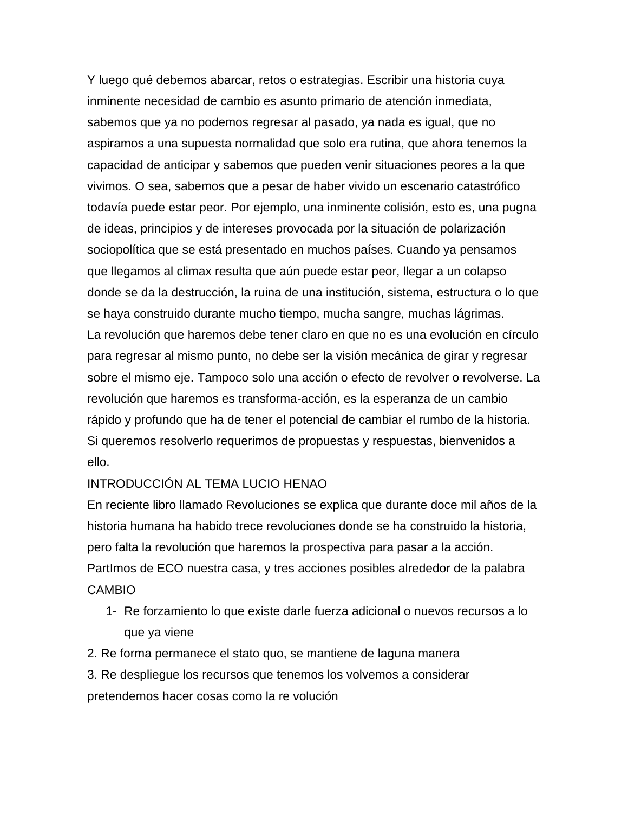Y luego qué debemos abarcar, retos o estrategias. Escribir una historia cuya inminente necesidad de cambio es asunto primario de atención inmediata, sabemos que ya no podemos regresar al pasado, ya nada es igual, que no aspiramos a una supuesta normalidad que solo era rutina, que ahora tenemos la capacidad de anticipar y sabemos que pueden venir situaciones peores a la que vivimos. O sea, sabemos que a pesar de haber vivido un escenario catastrófico todavía puede estar peor. Por ejemplo, una inminente colisión, esto es, una pugna de ideas, principios y de intereses provocada por la situación de polarización sociopolítica que se está presentado en muchos países. Cuando ya pensamos que llegamos al climax resulta que aún puede estar peor, llegar a un colapso donde se da la destrucción, la ruina de una institución, sistema, estructura o lo que se haya construido durante mucho tiempo, mucha sangre, muchas lágrimas. La revolución que haremos debe tener claro en que no es una evolución en círculo para regresar al mismo punto, no debe ser la visión mecánica de girar y regresar sobre el mismo eje. Tampoco solo una acción o efecto de revolver o revolverse. La revolución que haremos es transforma-acción, es la esperanza de un cambio rápido y profundo que ha de tener el potencial de cambiar el rumbo de la historia. Si queremos resolverlo requerimos de propuestas y respuestas, bienvenidos a ello.

#### INTRODUCCIÓN AL TEMA LUCIO HENAO

En reciente libro llamado Revoluciones se explica que durante doce mil años de la historia humana ha habido trece revoluciones donde se ha construido la historia, pero falta la revolución que haremos la prospectiva para pasar a la acción. PartImos de ECO nuestra casa, y tres acciones posibles alrededor de la palabra CAMBIO

- 1- Re forzamiento lo que existe darle fuerza adicional o nuevos recursos a lo que ya viene
- 2. Re forma permanece el stato quo, se mantiene de laguna manera
- 3. Re despliegue los recursos que tenemos los volvemos a considerar pretendemos hacer cosas como la re volución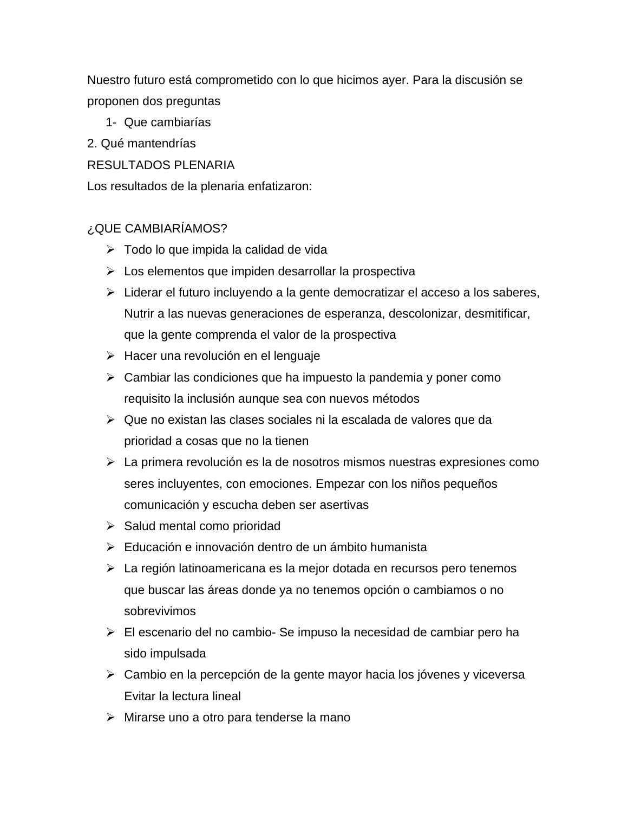Nuestro futuro está comprometido con lo que hicimos ayer. Para la discusión se proponen dos preguntas

- 1- Que cambiarías
- 2. Qué mantendrías

## RESULTADOS PLENARIA

Los resultados de la plenaria enfatizaron:

## ¿QUE CAMBIARÍAMOS?

- $\triangleright$  Todo lo que impida la calidad de vida
- $\triangleright$  Los elementos que impiden desarrollar la prospectiva
- $\triangleright$  Liderar el futuro incluyendo a la gente democratizar el acceso a los saberes, Nutrir a las nuevas generaciones de esperanza, descolonizar, desmitificar, que la gente comprenda el valor de la prospectiva
- > Hacer una revolución en el lenguaje
- $\triangleright$  Cambiar las condiciones que ha impuesto la pandemia y poner como requisito la inclusión aunque sea con nuevos métodos
- $\triangleright$  Que no existan las clases sociales ni la escalada de valores que da prioridad a cosas que no la tienen
- $\triangleright$  La primera revolución es la de nosotros mismos nuestras expresiones como seres incluyentes, con emociones. Empezar con los niños pequeños comunicación y escucha deben ser asertivas
- $\triangleright$  Salud mental como prioridad
- Educación e innovación dentro de un ámbito humanista
- La región latinoamericana es la mejor dotada en recursos pero tenemos que buscar las áreas donde ya no tenemos opción o cambiamos o no sobrevivimos
- El escenario del no cambio- Se impuso la necesidad de cambiar pero ha sido impulsada
- Cambio en la percepción de la gente mayor hacia los jóvenes y viceversa Evitar la lectura lineal
- Mirarse uno a otro para tenderse la mano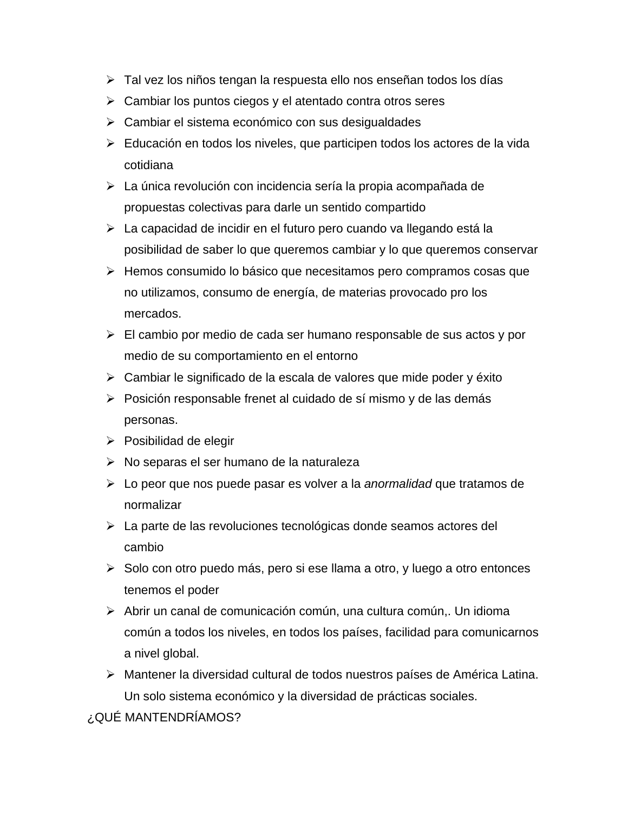- Tal vez los niños tengan la respuesta ello nos enseñan todos los días
- $\triangleright$  Cambiar los puntos ciegos y el atentado contra otros seres
- Cambiar el sistema económico con sus desigualdades
- Educación en todos los niveles, que participen todos los actores de la vida cotidiana
- La única revolución con incidencia sería la propia acompañada de propuestas colectivas para darle un sentido compartido
- La capacidad de incidir en el futuro pero cuando va llegando está la posibilidad de saber lo que queremos cambiar y lo que queremos conservar
- $\triangleright$  Hemos consumido lo básico que necesitamos pero compramos cosas que no utilizamos, consumo de energía, de materias provocado pro los mercados.
- $\triangleright$  El cambio por medio de cada ser humano responsable de sus actos y por medio de su comportamiento en el entorno
- $\triangleright$  Cambiar le significado de la escala de valores que mide poder y éxito
- Posición responsable frenet al cuidado de sí mismo y de las demás personas.
- $\triangleright$  Posibilidad de elegir
- $\triangleright$  No separas el ser humano de la naturaleza
- Lo peor que nos puede pasar es volver a la *anormalidad* que tratamos de normalizar
- La parte de las revoluciones tecnológicas donde seamos actores del cambio
- $\triangleright$  Solo con otro puedo más, pero si ese llama a otro, y luego a otro entonces tenemos el poder
- $\triangleright$  Abrir un canal de comunicación común, una cultura común, Un idioma común a todos los niveles, en todos los países, facilidad para comunicarnos a nivel global.
- Mantener la diversidad cultural de todos nuestros países de América Latina. Un solo sistema económico y la diversidad de prácticas sociales.

¿QUÉ MANTENDRÍAMOS?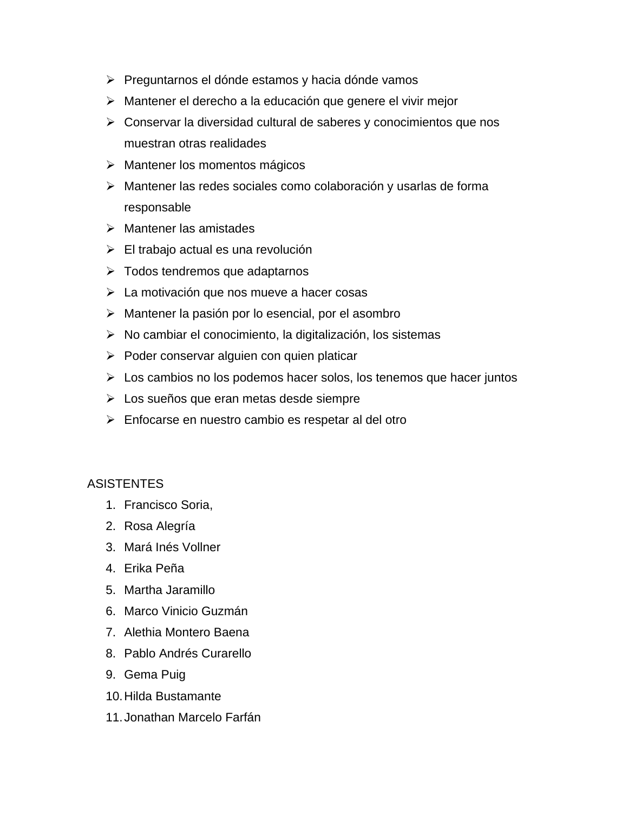- Preguntarnos el dónde estamos y hacia dónde vamos
- Mantener el derecho a la educación que genere el vivir mejor
- $\triangleright$  Conservar la diversidad cultural de saberes y conocimientos que nos muestran otras realidades
- Mantener los momentos mágicos
- Mantener las redes sociales como colaboración y usarlas de forma responsable
- $\triangleright$  Mantener las amistades
- El trabajo actual es una revolución
- Todos tendremos que adaptarnos
- La motivación que nos mueve a hacer cosas
- $\triangleright$  Mantener la pasión por lo esencial, por el asombro
- $\triangleright$  No cambiar el conocimiento, la digitalización, los sistemas
- $\triangleright$  Poder conservar alguien con quien platicar
- $\triangleright$  Los cambios no los podemos hacer solos, los tenemos que hacer juntos
- Los sueños que eran metas desde siempre
- $\triangleright$  Enfocarse en nuestro cambio es respetar al del otro

#### **ASISTENTES**

- 1. Francisco Soria,
- 2. Rosa Alegría
- 3. Mará Inés Vollner
- 4. Erika Peña
- 5. Martha Jaramillo
- 6. Marco Vinicio Guzmán
- 7. Alethia Montero Baena
- 8. Pablo Andrés Curarello
- 9. Gema Puig
- 10.Hilda Bustamante
- 11.Jonathan Marcelo Farfán